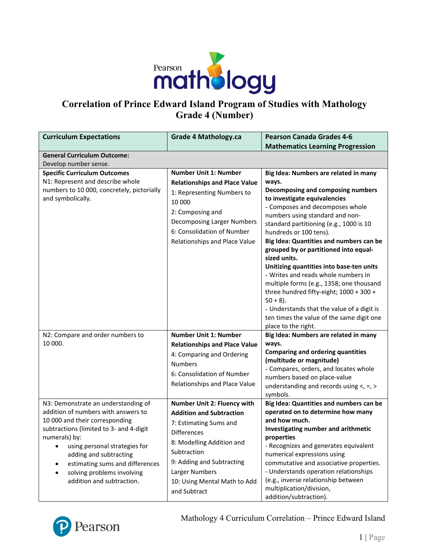

# **Correlation of Prince Edward Island Program of Studies with Mathology Grade 4 (Number)**

| <b>Curriculum Expectations</b>             | <b>Grade 4 Mathology.ca</b>          | <b>Pearson Canada Grades 4-6</b>                                                |
|--------------------------------------------|--------------------------------------|---------------------------------------------------------------------------------|
|                                            |                                      | <b>Mathematics Learning Progression</b>                                         |
| <b>General Curriculum Outcome:</b>         |                                      |                                                                                 |
| Develop number sense.                      |                                      |                                                                                 |
| <b>Specific Curriculum Outcomes</b>        | <b>Number Unit 1: Number</b>         | Big Idea: Numbers are related in many                                           |
| N1: Represent and describe whole           | <b>Relationships and Place Value</b> | ways.                                                                           |
| numbers to 10 000, concretely, pictorially | 1: Representing Numbers to           | Decomposing and composing numbers                                               |
| and symbolically.                          | 10 000                               | to investigate equivalencies                                                    |
|                                            | 2: Composing and                     | - Composes and decomposes whole                                                 |
|                                            | Decomposing Larger Numbers           | numbers using standard and non-                                                 |
|                                            |                                      | standard partitioning (e.g., 1000 is 10                                         |
|                                            | 6: Consolidation of Number           | hundreds or 100 tens).                                                          |
|                                            | Relationships and Place Value        | Big Idea: Quantities and numbers can be                                         |
|                                            |                                      | grouped by or partitioned into equal-                                           |
|                                            |                                      | sized units.                                                                    |
|                                            |                                      | Unitizing quantities into base-ten units<br>- Writes and reads whole numbers in |
|                                            |                                      | multiple forms (e.g., 1358; one thousand                                        |
|                                            |                                      | three hundred fifty-eight; 1000 + 300 +                                         |
|                                            |                                      | $50 + 8$ ).                                                                     |
|                                            |                                      | - Understands that the value of a digit is                                      |
|                                            |                                      | ten times the value of the same digit one                                       |
|                                            |                                      | place to the right.                                                             |
| N2: Compare and order numbers to           | <b>Number Unit 1: Number</b>         | Big Idea: Numbers are related in many                                           |
| 10 000.                                    | <b>Relationships and Place Value</b> | ways.                                                                           |
|                                            | 4: Comparing and Ordering            | <b>Comparing and ordering quantities</b>                                        |
|                                            | <b>Numbers</b>                       | (multitude or magnitude)                                                        |
|                                            |                                      | - Compares, orders, and locates whole                                           |
|                                            | 6: Consolidation of Number           | numbers based on place-value                                                    |
|                                            | Relationships and Place Value        | understanding and records using $\lt$ , =, >                                    |
|                                            |                                      | symbols.                                                                        |
| N3: Demonstrate an understanding of        | Number Unit 2: Fluency with          | Big Idea: Quantities and numbers can be                                         |
| addition of numbers with answers to        | <b>Addition and Subtraction</b>      | operated on to determine how many                                               |
| 10 000 and their corresponding             | 7: Estimating Sums and               | and how much.                                                                   |
| subtractions (limited to 3- and 4-digit    | <b>Differences</b>                   | Investigating number and arithmetic                                             |
| numerals) by:                              | 8: Modelling Addition and            | properties                                                                      |
| using personal strategies for<br>$\bullet$ | Subtraction                          | - Recognizes and generates equivalent                                           |
| adding and subtracting                     | 9: Adding and Subtracting            | numerical expressions using<br>commutative and associative properties.          |
| estimating sums and differences            |                                      | - Understands operation relationships                                           |
| solving problems involving                 | Larger Numbers                       | (e.g., inverse relationship between                                             |
| addition and subtraction.                  | 10: Using Mental Math to Add         | multiplication/division,                                                        |
|                                            | and Subtract                         | addition/subtraction).                                                          |

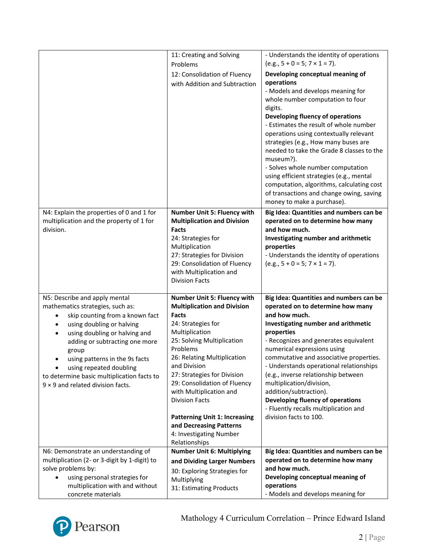|                                                                   | 11: Creating and Solving                                          | - Understands the identity of operations                                          |
|-------------------------------------------------------------------|-------------------------------------------------------------------|-----------------------------------------------------------------------------------|
|                                                                   | Problems                                                          | $(e.g., 5 + 0 = 5; 7 \times 1 = 7).$                                              |
|                                                                   | 12: Consolidation of Fluency                                      | Developing conceptual meaning of                                                  |
|                                                                   | with Addition and Subtraction                                     | operations                                                                        |
|                                                                   |                                                                   | - Models and develops meaning for                                                 |
|                                                                   |                                                                   | whole number computation to four                                                  |
|                                                                   |                                                                   | digits.                                                                           |
|                                                                   |                                                                   | Developing fluency of operations                                                  |
|                                                                   |                                                                   | - Estimates the result of whole number                                            |
|                                                                   |                                                                   | operations using contextually relevant                                            |
|                                                                   |                                                                   | strategies (e.g., How many buses are<br>needed to take the Grade 8 classes to the |
|                                                                   |                                                                   | museum?).                                                                         |
|                                                                   |                                                                   | - Solves whole number computation                                                 |
|                                                                   |                                                                   | using efficient strategies (e.g., mental                                          |
|                                                                   |                                                                   | computation, algorithms, calculating cost                                         |
|                                                                   |                                                                   | of transactions and change owing, saving                                          |
|                                                                   |                                                                   | money to make a purchase).                                                        |
| N4: Explain the properties of 0 and 1 for                         | Number Unit 5: Fluency with                                       | Big Idea: Quantities and numbers can be                                           |
| multiplication and the property of 1 for                          | <b>Multiplication and Division</b>                                | operated on to determine how many                                                 |
| division.                                                         | Facts                                                             | and how much.                                                                     |
|                                                                   | 24: Strategies for                                                | Investigating number and arithmetic                                               |
|                                                                   | Multiplication                                                    | properties                                                                        |
|                                                                   | 27: Strategies for Division                                       | - Understands the identity of operations                                          |
|                                                                   | 29: Consolidation of Fluency<br>with Multiplication and           | $(e.g., 5 + 0 = 5; 7 \times 1 = 7).$                                              |
|                                                                   | <b>Division Facts</b>                                             |                                                                                   |
|                                                                   |                                                                   |                                                                                   |
|                                                                   |                                                                   |                                                                                   |
|                                                                   |                                                                   |                                                                                   |
| N5: Describe and apply mental<br>mathematics strategies, such as: | Number Unit 5: Fluency with<br><b>Multiplication and Division</b> | Big Idea: Quantities and numbers can be<br>operated on to determine how many      |
| skip counting from a known fact<br>$\bullet$                      | Facts                                                             | and how much.                                                                     |
| using doubling or halving<br>$\bullet$                            | 24: Strategies for                                                | Investigating number and arithmetic                                               |
| using doubling or halving and                                     | Multiplication                                                    | properties                                                                        |
| adding or subtracting one more                                    | 25: Solving Multiplication                                        | - Recognizes and generates equivalent                                             |
| group                                                             | Problems                                                          | numerical expressions using                                                       |
| using patterns in the 9s facts                                    | 26: Relating Multiplication                                       | commutative and associative properties.                                           |
| using repeated doubling                                           | and Division                                                      | - Understands operational relationships                                           |
| to determine basic multiplication facts to                        | 27: Strategies for Division                                       | (e.g., inverse relationship between                                               |
| $9 \times 9$ and related division facts.                          | 29: Consolidation of Fluency                                      | multiplication/division,                                                          |
|                                                                   | with Multiplication and                                           | addition/subtraction).                                                            |
|                                                                   | <b>Division Facts</b>                                             | Developing fluency of operations<br>- Fluently recalls multiplication and         |
|                                                                   | <b>Patterning Unit 1: Increasing</b>                              | division facts to 100.                                                            |
|                                                                   | and Decreasing Patterns                                           |                                                                                   |
|                                                                   | 4: Investigating Number                                           |                                                                                   |
|                                                                   | Relationships                                                     |                                                                                   |
| N6: Demonstrate an understanding of                               | <b>Number Unit 6: Multiplying</b>                                 | Big Idea: Quantities and numbers can be                                           |
| multiplication (2- or 3-digit by 1-digit) to                      | and Dividing Larger Numbers                                       | operated on to determine how many                                                 |
| solve problems by:                                                | 30: Exploring Strategies for                                      | and how much.                                                                     |
| using personal strategies for                                     | Multiplying                                                       | Developing conceptual meaning of                                                  |
| multiplication with and without<br>concrete materials             | 31: Estimating Products                                           | operations<br>- Models and develops meaning for                                   |

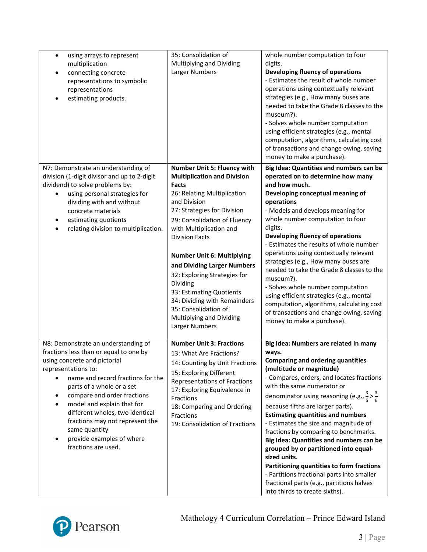| using arrays to represent<br>$\bullet$<br>multiplication<br>connecting concrete<br>representations to symbolic<br>representations<br>estimating products.                                                                                                                                                                                                                                                      | 35: Consolidation of<br>Multiplying and Dividing<br>Larger Numbers                                                                                                                                                                                                                                                                                                                                                                                                                                    | whole number computation to four<br>digits.<br>Developing fluency of operations<br>- Estimates the result of whole number<br>operations using contextually relevant<br>strategies (e.g., How many buses are<br>needed to take the Grade 8 classes to the<br>museum?).<br>- Solves whole number computation<br>using efficient strategies (e.g., mental<br>computation, algorithms, calculating cost<br>of transactions and change owing, saving<br>money to make a purchase).                                                                                                                                                                                                                                        |
|----------------------------------------------------------------------------------------------------------------------------------------------------------------------------------------------------------------------------------------------------------------------------------------------------------------------------------------------------------------------------------------------------------------|-------------------------------------------------------------------------------------------------------------------------------------------------------------------------------------------------------------------------------------------------------------------------------------------------------------------------------------------------------------------------------------------------------------------------------------------------------------------------------------------------------|----------------------------------------------------------------------------------------------------------------------------------------------------------------------------------------------------------------------------------------------------------------------------------------------------------------------------------------------------------------------------------------------------------------------------------------------------------------------------------------------------------------------------------------------------------------------------------------------------------------------------------------------------------------------------------------------------------------------|
| N7: Demonstrate an understanding of<br>division (1-digit divisor and up to 2-digit<br>dividend) to solve problems by:<br>using personal strategies for<br>dividing with and without<br>concrete materials<br>estimating quotients<br>relating division to multiplication.                                                                                                                                      | Number Unit 5: Fluency with<br><b>Multiplication and Division</b><br><b>Facts</b><br>26: Relating Multiplication<br>and Division<br>27: Strategies for Division<br>29: Consolidation of Fluency<br>with Multiplication and<br><b>Division Facts</b><br><b>Number Unit 6: Multiplying</b><br>and Dividing Larger Numbers<br>32: Exploring Strategies for<br>Dividing<br>33: Estimating Quotients<br>34: Dividing with Remainders<br>35: Consolidation of<br>Multiplying and Dividing<br>Larger Numbers | Big Idea: Quantities and numbers can be<br>operated on to determine how many<br>and how much.<br>Developing conceptual meaning of<br>operations<br>- Models and develops meaning for<br>whole number computation to four<br>digits.<br>Developing fluency of operations<br>- Estimates the results of whole number<br>operations using contextually relevant<br>strategies (e.g., How many buses are<br>needed to take the Grade 8 classes to the<br>museum?).<br>- Solves whole number computation<br>using efficient strategies (e.g., mental<br>computation, algorithms, calculating cost<br>of transactions and change owing, saving<br>money to make a purchase).                                               |
| N8: Demonstrate an understanding of<br>fractions less than or equal to one by<br>using concrete and pictorial<br>representations to:<br>name and record fractions for the<br>parts of a whole or a set<br>compare and order fractions<br>model and explain that for<br>different wholes, two identical<br>fractions may not represent the<br>same quantity<br>provide examples of where<br>fractions are used. | <b>Number Unit 3: Fractions</b><br>13: What Are Fractions?<br>14: Counting by Unit Fractions<br>15: Exploring Different<br>Representations of Fractions<br>17: Exploring Equivalence in<br>Fractions<br>18: Comparing and Ordering<br>Fractions<br>19: Consolidation of Fractions                                                                                                                                                                                                                     | Big Idea: Numbers are related in many<br>ways.<br><b>Comparing and ordering quantities</b><br>(multitude or magnitude)<br>- Compares, orders, and locates fractions<br>with the same numerator or<br>denominator using reasoning (e.g., $\frac{3}{5} > \frac{3}{6}$<br>because fifths are larger parts).<br><b>Estimating quantities and numbers</b><br>- Estimates the size and magnitude of<br>fractions by comparing to benchmarks.<br>Big Idea: Quantities and numbers can be<br>grouped by or partitioned into equal-<br>sized units.<br>Partitioning quantities to form fractions<br>- Partitions fractional parts into smaller<br>fractional parts (e.g., partitions halves<br>into thirds to create sixths). |

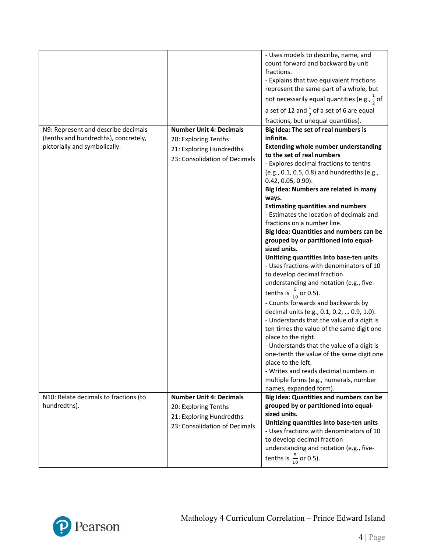|                                                                                                              |                                                                                                                     | - Uses models to describe, name, and<br>count forward and backward by unit<br>fractions.<br>- Explains that two equivalent fractions<br>represent the same part of a whole, but<br>not necessarily equal quantities (e.g., $\frac{1}{2}$ of<br>a set of 12 and $\frac{1}{2}$ of a set of 6 are equal<br>fractions, but unequal quantities).                                                                                                                                                                                                                                                                                                                                                                                                                                                                                                                                                                                                                                                                                                                                                          |
|--------------------------------------------------------------------------------------------------------------|---------------------------------------------------------------------------------------------------------------------|------------------------------------------------------------------------------------------------------------------------------------------------------------------------------------------------------------------------------------------------------------------------------------------------------------------------------------------------------------------------------------------------------------------------------------------------------------------------------------------------------------------------------------------------------------------------------------------------------------------------------------------------------------------------------------------------------------------------------------------------------------------------------------------------------------------------------------------------------------------------------------------------------------------------------------------------------------------------------------------------------------------------------------------------------------------------------------------------------|
| N9: Represent and describe decimals<br>(tenths and hundredths), concretely,<br>pictorially and symbolically. | <b>Number Unit 4: Decimals</b><br>20: Exploring Tenths<br>21: Exploring Hundredths<br>23: Consolidation of Decimals | Big Idea: The set of real numbers is<br>infinite.<br><b>Extending whole number understanding</b><br>to the set of real numbers<br>- Explores decimal fractions to tenths<br>(e.g., 0.1, 0.5, 0.8) and hundredths (e.g.,<br>$0.42, 0.05, 0.90$ ).<br>Big Idea: Numbers are related in many<br>ways.<br><b>Estimating quantities and numbers</b><br>- Estimates the location of decimals and<br>fractions on a number line.<br>Big Idea: Quantities and numbers can be<br>grouped by or partitioned into equal-<br>sized units.<br>Unitizing quantities into base-ten units<br>- Uses fractions with denominators of 10<br>to develop decimal fraction<br>understanding and notation (e.g., five-<br>tenths is $\frac{5}{10}$ or 0.5).<br>- Counts forwards and backwards by<br>decimal units (e.g., 0.1, 0.2,  0.9, 1.0).<br>- Understands that the value of a digit is<br>ten times the value of the same digit one<br>place to the right.<br>- Understands that the value of a digit is<br>one-tenth the value of the same digit one<br>place to the left.<br>- Writes and reads decimal numbers in |
|                                                                                                              |                                                                                                                     | multiple forms (e.g., numerals, number<br>names, expanded form).                                                                                                                                                                                                                                                                                                                                                                                                                                                                                                                                                                                                                                                                                                                                                                                                                                                                                                                                                                                                                                     |
| N10: Relate decimals to fractions (to<br>hundredths).                                                        | <b>Number Unit 4: Decimals</b><br>20: Exploring Tenths<br>21: Exploring Hundredths<br>23: Consolidation of Decimals | Big Idea: Quantities and numbers can be<br>grouped by or partitioned into equal-<br>sized units.<br>Unitizing quantities into base-ten units<br>- Uses fractions with denominators of 10<br>to develop decimal fraction<br>understanding and notation (e.g., five-<br>tenths is $\frac{5}{10}$ or 0.5).                                                                                                                                                                                                                                                                                                                                                                                                                                                                                                                                                                                                                                                                                                                                                                                              |

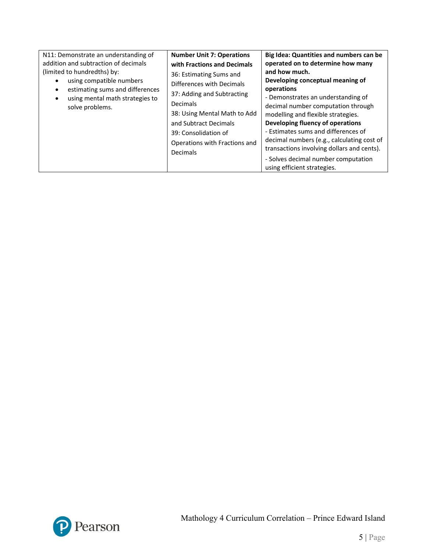| N11: Demonstrate an understanding of<br>addition and subtraction of decimals<br>(limited to hundredths) by:<br>using compatible numbers<br>estimating sums and differences<br>using mental math strategies to<br>٠<br><b>Decimals</b><br>solve problems.<br>Decimals | <b>Number Unit 7: Operations</b><br>Big Idea: Quantities and numbers can be<br>operated on to determine how many<br>with Fractions and Decimals<br>and how much.<br>36: Estimating Sums and<br>Developing conceptual meaning of<br>Differences with Decimals<br>operations<br>37: Adding and Subtracting<br>- Demonstrates an understanding of<br>decimal number computation through<br>38: Using Mental Math to Add<br>modelling and flexible strategies.<br>Developing fluency of operations<br>and Subtract Decimals<br>- Estimates sums and differences of<br>39: Consolidation of<br>decimal numbers (e.g., calculating cost of<br>Operations with Fractions and<br>transactions involving dollars and cents).<br>- Solves decimal number computation<br>using efficient strategies. |
|----------------------------------------------------------------------------------------------------------------------------------------------------------------------------------------------------------------------------------------------------------------------|-------------------------------------------------------------------------------------------------------------------------------------------------------------------------------------------------------------------------------------------------------------------------------------------------------------------------------------------------------------------------------------------------------------------------------------------------------------------------------------------------------------------------------------------------------------------------------------------------------------------------------------------------------------------------------------------------------------------------------------------------------------------------------------------|
|----------------------------------------------------------------------------------------------------------------------------------------------------------------------------------------------------------------------------------------------------------------------|-------------------------------------------------------------------------------------------------------------------------------------------------------------------------------------------------------------------------------------------------------------------------------------------------------------------------------------------------------------------------------------------------------------------------------------------------------------------------------------------------------------------------------------------------------------------------------------------------------------------------------------------------------------------------------------------------------------------------------------------------------------------------------------------|

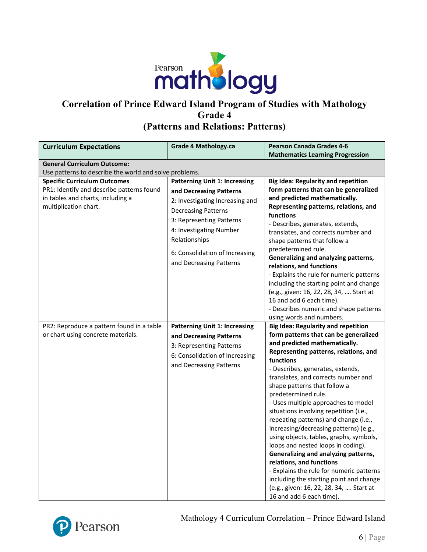

# **Correlation of Prince Edward Island Program of Studies with Mathology Grade 4 (Patterns and Relations: Patterns)**

| <b>Curriculum Expectations</b>                                                                                                                 | <b>Grade 4 Mathology.ca</b>                                                                                                                                                                                                                                           | <b>Pearson Canada Grades 4-6</b>                                                                                                                                                                                                                                                                                                                                                                                                                                                                                                                                                                                                                                                                                                                      |
|------------------------------------------------------------------------------------------------------------------------------------------------|-----------------------------------------------------------------------------------------------------------------------------------------------------------------------------------------------------------------------------------------------------------------------|-------------------------------------------------------------------------------------------------------------------------------------------------------------------------------------------------------------------------------------------------------------------------------------------------------------------------------------------------------------------------------------------------------------------------------------------------------------------------------------------------------------------------------------------------------------------------------------------------------------------------------------------------------------------------------------------------------------------------------------------------------|
|                                                                                                                                                |                                                                                                                                                                                                                                                                       | <b>Mathematics Learning Progression</b>                                                                                                                                                                                                                                                                                                                                                                                                                                                                                                                                                                                                                                                                                                               |
| <b>General Curriculum Outcome:</b>                                                                                                             |                                                                                                                                                                                                                                                                       |                                                                                                                                                                                                                                                                                                                                                                                                                                                                                                                                                                                                                                                                                                                                                       |
| Use patterns to describe the world and solve problems.                                                                                         |                                                                                                                                                                                                                                                                       |                                                                                                                                                                                                                                                                                                                                                                                                                                                                                                                                                                                                                                                                                                                                                       |
| <b>Specific Curriculum Outcomes</b><br>PR1: Identify and describe patterns found<br>in tables and charts, including a<br>multiplication chart. | <b>Patterning Unit 1: Increasing</b><br>and Decreasing Patterns<br>2: Investigating Increasing and<br><b>Decreasing Patterns</b><br>3: Representing Patterns<br>4: Investigating Number<br>Relationships<br>6: Consolidation of Increasing<br>and Decreasing Patterns | <b>Big Idea: Regularity and repetition</b><br>form patterns that can be generalized<br>and predicted mathematically.<br>Representing patterns, relations, and<br>functions<br>- Describes, generates, extends,<br>translates, and corrects number and<br>shape patterns that follow a<br>predetermined rule.<br>Generalizing and analyzing patterns,<br>relations, and functions<br>- Explains the rule for numeric patterns<br>including the starting point and change<br>(e.g., given: 16, 22, 28, 34,  Start at                                                                                                                                                                                                                                    |
| PR2: Reproduce a pattern found in a table                                                                                                      | <b>Patterning Unit 1: Increasing</b>                                                                                                                                                                                                                                  | 16 and add 6 each time).<br>- Describes numeric and shape patterns<br>using words and numbers.<br><b>Big Idea: Regularity and repetition</b>                                                                                                                                                                                                                                                                                                                                                                                                                                                                                                                                                                                                          |
| or chart using concrete materials.                                                                                                             | and Decreasing Patterns<br>3: Representing Patterns<br>6: Consolidation of Increasing<br>and Decreasing Patterns                                                                                                                                                      | form patterns that can be generalized<br>and predicted mathematically.<br>Representing patterns, relations, and<br>functions<br>- Describes, generates, extends,<br>translates, and corrects number and<br>shape patterns that follow a<br>predetermined rule.<br>- Uses multiple approaches to model<br>situations involving repetition (i.e.,<br>repeating patterns) and change (i.e.,<br>increasing/decreasing patterns) (e.g.,<br>using objects, tables, graphs, symbols,<br>loops and nested loops in coding).<br>Generalizing and analyzing patterns,<br>relations, and functions<br>- Explains the rule for numeric patterns<br>including the starting point and change<br>(e.g., given: 16, 22, 28, 34,  Start at<br>16 and add 6 each time). |

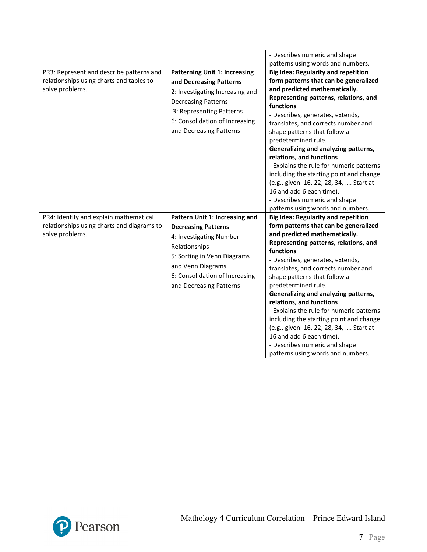|                                                                                                         |                                                                                                                                                                                                                           | - Describes numeric and shape<br>patterns using words and numbers.                                                                                                                                                                                                                                                                                                                                                                                                                                                                                                                                                   |
|---------------------------------------------------------------------------------------------------------|---------------------------------------------------------------------------------------------------------------------------------------------------------------------------------------------------------------------------|----------------------------------------------------------------------------------------------------------------------------------------------------------------------------------------------------------------------------------------------------------------------------------------------------------------------------------------------------------------------------------------------------------------------------------------------------------------------------------------------------------------------------------------------------------------------------------------------------------------------|
| PR3: Represent and describe patterns and<br>relationships using charts and tables to<br>solve problems. | <b>Patterning Unit 1: Increasing</b><br>and Decreasing Patterns<br>2: Investigating Increasing and<br><b>Decreasing Patterns</b><br>3: Representing Patterns<br>6: Consolidation of Increasing<br>and Decreasing Patterns | <b>Big Idea: Regularity and repetition</b><br>form patterns that can be generalized<br>and predicted mathematically.<br>Representing patterns, relations, and<br>functions<br>- Describes, generates, extends,<br>translates, and corrects number and<br>shape patterns that follow a<br>predetermined rule.<br>Generalizing and analyzing patterns,<br>relations, and functions<br>- Explains the rule for numeric patterns<br>including the starting point and change<br>(e.g., given: 16, 22, 28, 34,  Start at<br>16 and add 6 each time).<br>- Describes numeric and shape<br>patterns using words and numbers. |
| PR4: Identify and explain mathematical<br>relationships using charts and diagrams to<br>solve problems. | Pattern Unit 1: Increasing and<br><b>Decreasing Patterns</b><br>4: Investigating Number<br>Relationships<br>5: Sorting in Venn Diagrams<br>and Venn Diagrams<br>6: Consolidation of Increasing<br>and Decreasing Patterns | <b>Big Idea: Regularity and repetition</b><br>form patterns that can be generalized<br>and predicted mathematically.<br>Representing patterns, relations, and<br>functions<br>- Describes, generates, extends,<br>translates, and corrects number and<br>shape patterns that follow a<br>predetermined rule.<br>Generalizing and analyzing patterns,<br>relations, and functions<br>- Explains the rule for numeric patterns<br>including the starting point and change<br>(e.g., given: 16, 22, 28, 34,  Start at<br>16 and add 6 each time).<br>- Describes numeric and shape<br>patterns using words and numbers. |

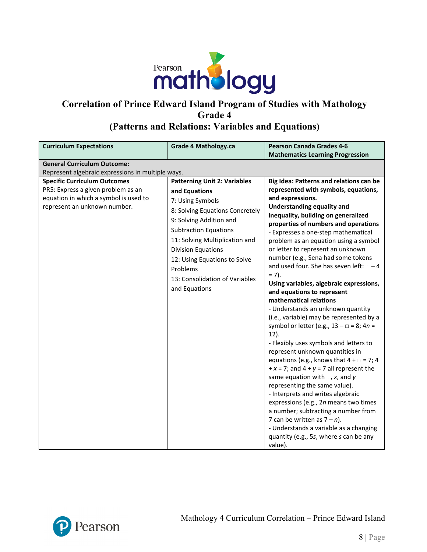

#### **Correlation of Prince Edward Island Program of Studies with Mathology Grade 4 (Patterns and Relations: Variables and Equations)**

#### **Curriculum Expectations Grade 4 Mathology.ca Pearson Canada Grades 4-6 Mathematics Learning Progression General Curriculum Outcome:** Represent algebraic expressions in multiple ways. **Specific Curriculum Outcomes** PR5: Express a given problem as an equation in which a symbol is used to represent an unknown number. **Patterning Unit 2: Variables and Equations** 7: Using Symbols 8: Solving Equations Concretely 9: Solving Addition and Subtraction Equations 11: Solving Multiplication and Division Equations 12: Using Equations to Solve Problems 13: Consolidation of Variables and Equations **Big Idea: Patterns and relations can be represented with symbols, equations, and expressions. Understanding equality and inequality, building on generalized properties of numbers and operations** - Expresses a one-step mathematical problem as an equation using a symbol or letter to represent an unknown number (e.g., Sena had some tokens and used four. She has seven left:  $\Box - 4$  $= 7$ ). **Using variables, algebraic expressions, and equations to represent mathematical relations** - Understands an unknown quantity (i.e., variable) may be represented by a symbol or letter (e.g., 13 – □ = 8; 4*n* = 12). - Flexibly uses symbols and letters to represent unknown quantities in equations (e.g., knows that  $4 + \square = 7$ ; 4  $+x = 7$ ; and  $4 + y = 7$  all represent the same equation with □, *x*, and *y* representing the same value). - Interprets and writes algebraic expressions (e.g., 2*n* means two times a number; subtracting a number from 7 can be written as  $7 - n$ ). - Understands a variable as a changing quantity (e.g., 5*s*, where *s* can be any value).

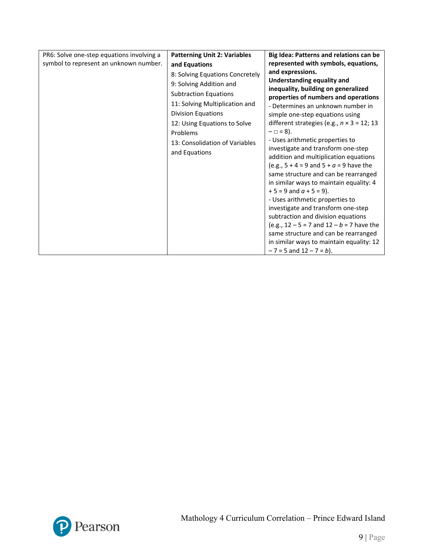| PR6: Solve one-step equations involving a | <b>Patterning Unit 2: Variables</b>                                                                                                                                                                                   | Big Idea: Patterns and relations can be                                                                                                                                                                                                                                                                                                                                                                                                                                                                                                                                                                                                                            |
|-------------------------------------------|-----------------------------------------------------------------------------------------------------------------------------------------------------------------------------------------------------------------------|--------------------------------------------------------------------------------------------------------------------------------------------------------------------------------------------------------------------------------------------------------------------------------------------------------------------------------------------------------------------------------------------------------------------------------------------------------------------------------------------------------------------------------------------------------------------------------------------------------------------------------------------------------------------|
| symbol to represent an unknown number.    | and Equations                                                                                                                                                                                                         | represented with symbols, equations,                                                                                                                                                                                                                                                                                                                                                                                                                                                                                                                                                                                                                               |
|                                           | 8: Solving Equations Concretely                                                                                                                                                                                       | and expressions.                                                                                                                                                                                                                                                                                                                                                                                                                                                                                                                                                                                                                                                   |
|                                           | 9: Solving Addition and<br><b>Subtraction Equations</b><br>11: Solving Multiplication and<br><b>Division Equations</b><br>12: Using Equations to Solve<br>Problems<br>13: Consolidation of Variables<br>and Equations | <b>Understanding equality and</b><br>inequality, building on generalized<br>properties of numbers and operations<br>- Determines an unknown number in<br>simple one-step equations using<br>different strategies (e.g., $n \times 3 = 12$ ; 13<br>$-\Box = 8$ ).<br>- Uses arithmetic properties to<br>investigate and transform one-step<br>addition and multiplication equations<br>(e.g., $5 + 4 = 9$ and $5 + a = 9$ have the<br>same structure and can be rearranged<br>in similar ways to maintain equality: 4<br>$+5 = 9$ and $a + 5 = 9$ ).<br>- Uses arithmetic properties to<br>investigate and transform one-step<br>subtraction and division equations |
|                                           |                                                                                                                                                                                                                       | (e.g., $12 - 5 = 7$ and $12 - b = 7$ have the<br>same structure and can be rearranged                                                                                                                                                                                                                                                                                                                                                                                                                                                                                                                                                                              |
|                                           |                                                                                                                                                                                                                       | in similar ways to maintain equality: 12<br>$-7 = 5$ and $12 - 7 = b$ ).                                                                                                                                                                                                                                                                                                                                                                                                                                                                                                                                                                                           |

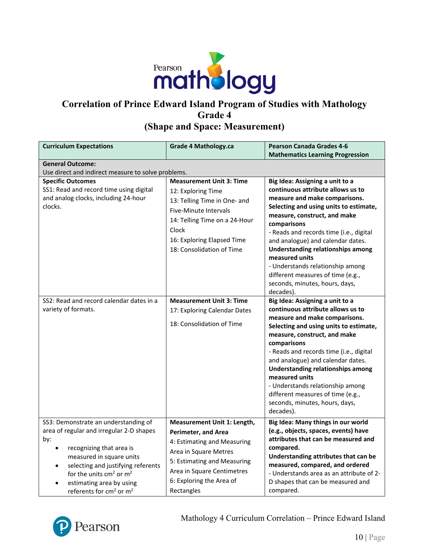

### **Correlation of Prince Edward Island Program of Studies with Mathology Grade 4 (Shape and Space: Measurement)**

| <b>Curriculum Expectations</b>                                                                                                                                                                                                                                                                                                       | <b>Grade 4 Mathology.ca</b>                                                                                                                                                                                              | <b>Pearson Canada Grades 4-6</b>                                                                                                                                                                                                                                                                                                                                                                                                                                     |  |
|--------------------------------------------------------------------------------------------------------------------------------------------------------------------------------------------------------------------------------------------------------------------------------------------------------------------------------------|--------------------------------------------------------------------------------------------------------------------------------------------------------------------------------------------------------------------------|----------------------------------------------------------------------------------------------------------------------------------------------------------------------------------------------------------------------------------------------------------------------------------------------------------------------------------------------------------------------------------------------------------------------------------------------------------------------|--|
|                                                                                                                                                                                                                                                                                                                                      |                                                                                                                                                                                                                          | <b>Mathematics Learning Progression</b>                                                                                                                                                                                                                                                                                                                                                                                                                              |  |
| <b>General Outcome:</b><br>Use direct and indirect measure to solve problems.                                                                                                                                                                                                                                                        |                                                                                                                                                                                                                          |                                                                                                                                                                                                                                                                                                                                                                                                                                                                      |  |
| <b>Specific Outcomes</b><br>SS1: Read and record time using digital<br>and analog clocks, including 24-hour<br>clocks.                                                                                                                                                                                                               | <b>Measurement Unit 3: Time</b><br>12: Exploring Time<br>13: Telling Time in One- and<br>Five-Minute Intervals<br>14: Telling Time on a 24-Hour<br>Clock<br>16: Exploring Elapsed Time<br>18: Consolidation of Time      | Big Idea: Assigning a unit to a<br>continuous attribute allows us to<br>measure and make comparisons.<br>Selecting and using units to estimate,<br>measure, construct, and make<br>comparisons<br>- Reads and records time (i.e., digital<br>and analogue) and calendar dates.<br><b>Understanding relationships among</b><br>measured units<br>- Understands relationship among<br>different measures of time (e.g.,<br>seconds, minutes, hours, days,<br>decades). |  |
| SS2: Read and record calendar dates in a<br>variety of formats.                                                                                                                                                                                                                                                                      | <b>Measurement Unit 3: Time</b><br>17: Exploring Calendar Dates<br>18: Consolidation of Time                                                                                                                             | Big Idea: Assigning a unit to a<br>continuous attribute allows us to<br>measure and make comparisons.<br>Selecting and using units to estimate,<br>measure, construct, and make<br>comparisons<br>- Reads and records time (i.e., digital<br>and analogue) and calendar dates.<br><b>Understanding relationships among</b><br>measured units<br>- Understands relationship among<br>different measures of time (e.g.,<br>seconds, minutes, hours, days,<br>decades). |  |
| SS3: Demonstrate an understanding of<br>area of regular and irregular 2-D shapes<br>by:<br>recognizing that area is<br>measured in square units<br>selecting and justifying referents<br>$\bullet$<br>for the units cm <sup>2</sup> or m <sup>2</sup><br>estimating area by using<br>referents for cm <sup>2</sup> or m <sup>2</sup> | Measurement Unit 1: Length,<br><b>Perimeter, and Area</b><br>4: Estimating and Measuring<br>Area in Square Metres<br>5: Estimating and Measuring<br>Area in Square Centimetres<br>6: Exploring the Area of<br>Rectangles | Big Idea: Many things in our world<br>(e.g., objects, spaces, events) have<br>attributes that can be measured and<br>compared.<br>Understanding attributes that can be<br>measured, compared, and ordered<br>- Understands area as an attribute of 2-<br>D shapes that can be measured and<br>compared.                                                                                                                                                              |  |

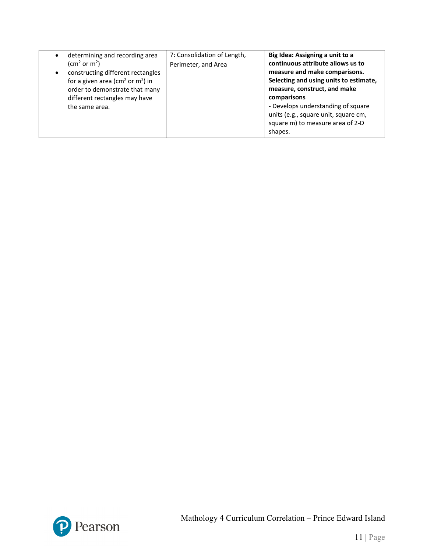| determining and recording area<br>$\bullet$<br>(cm <sup>2</sup> or m <sup>2</sup> )<br>constructing different rectangles<br>for a given area ( $\text{cm}^2$ or $\text{m}^2$ ) in<br>order to demonstrate that many<br>different rectangles may have<br>the same area. | 7: Consolidation of Length,<br>Perimeter, and Area | Big Idea: Assigning a unit to a<br>continuous attribute allows us to<br>measure and make comparisons.<br>Selecting and using units to estimate,<br>measure, construct, and make<br>comparisons<br>- Develops understanding of square<br>units (e.g., square unit, square cm,<br>square m) to measure area of 2-D |
|------------------------------------------------------------------------------------------------------------------------------------------------------------------------------------------------------------------------------------------------------------------------|----------------------------------------------------|------------------------------------------------------------------------------------------------------------------------------------------------------------------------------------------------------------------------------------------------------------------------------------------------------------------|
|                                                                                                                                                                                                                                                                        |                                                    | shapes.                                                                                                                                                                                                                                                                                                          |

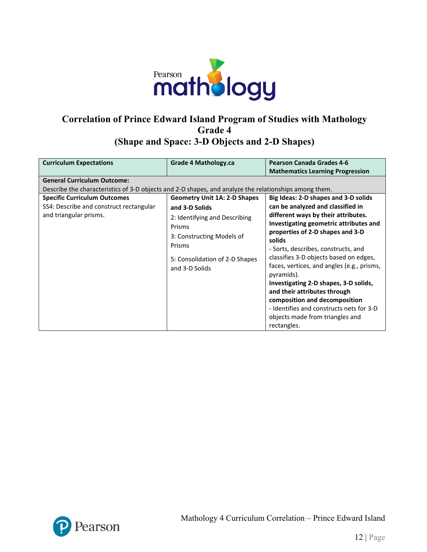

# **Correlation of Prince Edward Island Program of Studies with Mathology Grade 4 (Shape and Space: 3-D Objects and 2-D Shapes)**

| <b>Curriculum Expectations</b>                                                                        | Grade 4 Mathology.ca                | <b>Pearson Canada Grades 4-6</b><br><b>Mathematics Learning Progression</b>          |  |  |
|-------------------------------------------------------------------------------------------------------|-------------------------------------|--------------------------------------------------------------------------------------|--|--|
| <b>General Curriculum Outcome:</b>                                                                    |                                     |                                                                                      |  |  |
| Describe the characteristics of 3-D objects and 2-D shapes, and analyze the relationships among them. |                                     |                                                                                      |  |  |
| <b>Specific Curriculum Outcomes</b>                                                                   | <b>Geometry Unit 1A: 2-D Shapes</b> | Big Ideas: 2-D shapes and 3-D solids                                                 |  |  |
| SS4: Describe and construct rectangular                                                               | and 3-D Solids                      | can be analyzed and classified in                                                    |  |  |
| and triangular prisms.                                                                                | 2: Identifying and Describing       | different ways by their attributes.                                                  |  |  |
|                                                                                                       | Prisms                              | Investigating geometric attributes and                                               |  |  |
|                                                                                                       | 3: Constructing Models of           | properties of 2-D shapes and 3-D                                                     |  |  |
|                                                                                                       | Prisms                              | solids                                                                               |  |  |
|                                                                                                       |                                     | - Sorts, describes, constructs, and                                                  |  |  |
|                                                                                                       | 5: Consolidation of 2-D Shapes      | classifies 3-D objects based on edges,<br>faces, vertices, and angles (e.g., prisms, |  |  |
|                                                                                                       | and 3-D Solids                      | pyramids).                                                                           |  |  |
|                                                                                                       |                                     | Investigating 2-D shapes, 3-D solids,                                                |  |  |
|                                                                                                       |                                     | and their attributes through                                                         |  |  |
|                                                                                                       |                                     | composition and decomposition                                                        |  |  |
|                                                                                                       |                                     | - Identifies and constructs nets for 3-D                                             |  |  |
|                                                                                                       |                                     | objects made from triangles and                                                      |  |  |
|                                                                                                       |                                     | rectangles.                                                                          |  |  |

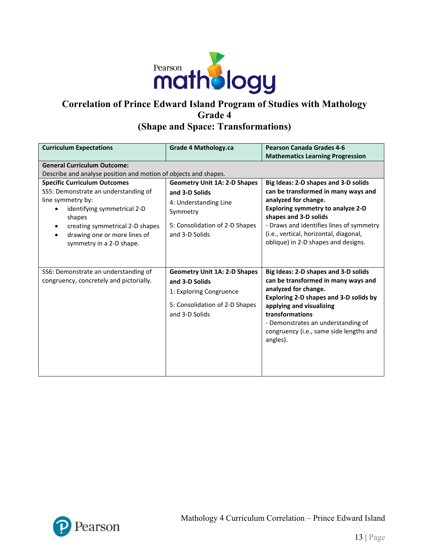

# **Correlation of Prince Edward Island Program of Studies with Mathology Grade 4 (Shape and Space: Transformations)**

| <b>Curriculum Expectations</b>                                                                                                                                                                                                           | <b>Grade 4 Mathology.ca</b>                                                                                                                    | <b>Pearson Canada Grades 4-6</b><br><b>Mathematics Learning Progression</b>                                                                                                                                                                                                                           |  |
|------------------------------------------------------------------------------------------------------------------------------------------------------------------------------------------------------------------------------------------|------------------------------------------------------------------------------------------------------------------------------------------------|-------------------------------------------------------------------------------------------------------------------------------------------------------------------------------------------------------------------------------------------------------------------------------------------------------|--|
| <b>General Curriculum Outcome:</b><br>Describe and analyse position and motion of objects and shapes.                                                                                                                                    |                                                                                                                                                |                                                                                                                                                                                                                                                                                                       |  |
| <b>Specific Curriculum Outcomes</b><br>SS5: Demonstrate an understanding of<br>line symmetry by:<br>identifying symmetrical 2-D<br>shapes<br>creating symmetrical 2-D shapes<br>drawing one or more lines of<br>symmetry in a 2-D shape. | <b>Geometry Unit 1A: 2-D Shapes</b><br>and 3-D Solids<br>4: Understanding Line<br>Symmetry<br>5: Consolidation of 2-D Shapes<br>and 3-D Solids | Big Ideas: 2-D shapes and 3-D solids<br>can be transformed in many ways and<br>analyzed for change.<br><b>Exploring symmetry to analyze 2-D</b><br>shapes and 3-D solids<br>- Draws and identifies lines of symmetry<br>(i.e., vertical, horizontal, diagonal,<br>oblique) in 2-D shapes and designs. |  |
| SS6: Demonstrate an understanding of<br>congruency, concretely and pictorially.                                                                                                                                                          | <b>Geometry Unit 1A: 2-D Shapes</b><br>and 3-D Solids<br>1: Exploring Congruence<br>5: Consolidation of 2-D Shapes<br>and 3-D Solids           | Big Ideas: 2-D shapes and 3-D solids<br>can be transformed in many ways and<br>analyzed for change.<br>Exploring 2-D shapes and 3-D solids by<br>applying and visualizing<br>transformations<br>- Demonstrates an understanding of<br>congruency (i.e., same side lengths and<br>angles).             |  |